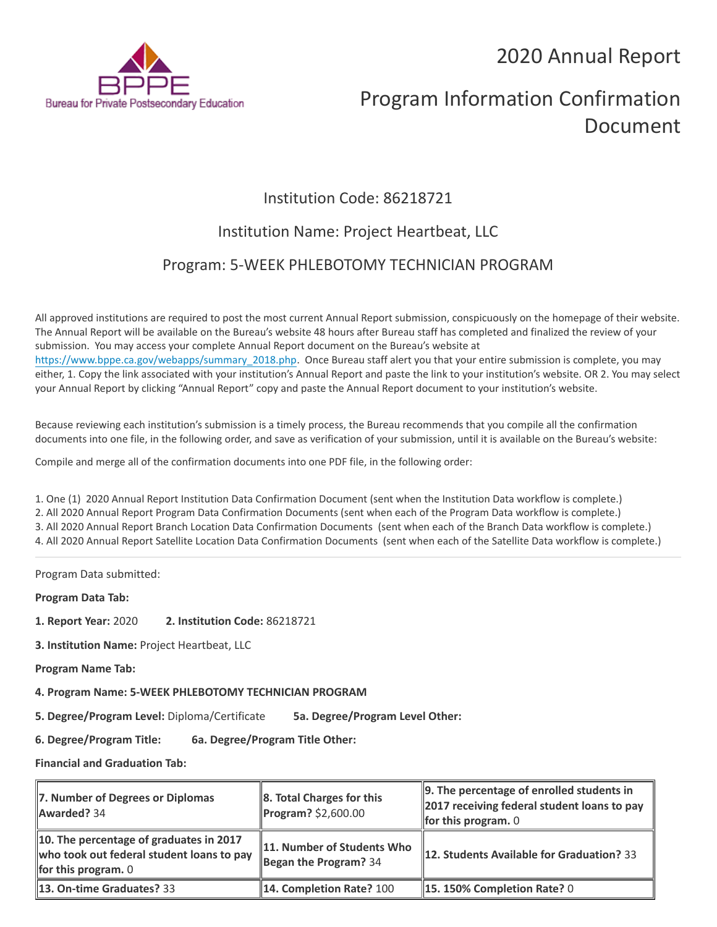2020 Annual Report



# Program Information Confirmation Document

# Institution Code: 86218721

## Institution Name: Project Heartbeat, LLC

### Program: 5-WEEK PHLEBOTOMY TECHNICIAN PROGRAM

All approved institutions are required to post the most current Annual Report submission, conspicuously on the homepage of their website. The Annual Report will be available on the Bureau's website 48 hours after Bureau staff has completed and finalized the review of your submission. You may access your complete Annual Report document on the Bureau's website at [https://www.bppe.ca.gov/webapps/summary\\_2018.php.](https://www.bppe.ca.gov/webapps/summary_2018.php) Once Bureau staff alert you that your entire submission is complete, you may either, 1. Copy the link associated with your institution's Annual Report and paste the link to your institution's website. OR 2. You may select your Annual Report by clicking "Annual Report" copy and paste the Annual Report document to your institution's website.

Because reviewing each institution's submission is a timely process, the Bureau recommends that you compile all the confirmation documents into one file, in the following order, and save as verification of your submission, until it is available on the Bureau's website:

Compile and merge all of the confirmation documents into one PDF file, in the following order:

1. One (1) 2020 Annual Report Institution Data Confirmation Document (sent when the Institution Data workflow is complete.) 2. All 2020 Annual Report Program Data Confirmation Documents (sent when each of the Program Data workflow is complete.) 3. All 2020 Annual Report Branch Location Data Confirmation Documents (sent when each of the Branch Data workflow is complete.) 4. All 2020 Annual Report Satellite Location Data Confirmation Documents (sent when each of the Satellite Data workflow is complete.)

Program Data submitted:

**Program Data Tab:**

- **1. Report Year:** 2020 **2. Institution Code:** 86218721
- **3. Institution Name:** Project Heartbeat, LLC
- **Program Name Tab:**
- **4. Program Name: 5-WEEK PHLEBOTOMY TECHNICIAN PROGRAM**

**5. Degree/Program Level:** Diploma/Certificate **5a. Degree/Program Level Other:**

**6. Degree/Program Title: 6a. Degree/Program Title Other:**

**Financial and Graduation Tab:**

| 7. Number of Degrees or Diplomas<br>Awarded? 34                                                               | $\ $ 8. Total Charges for this<br>$Program?$ \$2,600.00 | 9. The percentage of enrolled students in<br>2017 receiving federal student loans to pay<br>for this program. $0$ |
|---------------------------------------------------------------------------------------------------------------|---------------------------------------------------------|-------------------------------------------------------------------------------------------------------------------|
| 10. The percentage of graduates in 2017<br>who took out federal student loans to pay<br>for this program. $0$ | 11. Number of Students Who<br>Began the Program? $34$   | 12. Students Available for Graduation? 33                                                                         |
| <b>13. On-time Graduates? 33</b>                                                                              | 14. Completion Rate? 100                                | $\parallel$ 15. 150% Completion Rate? 0                                                                           |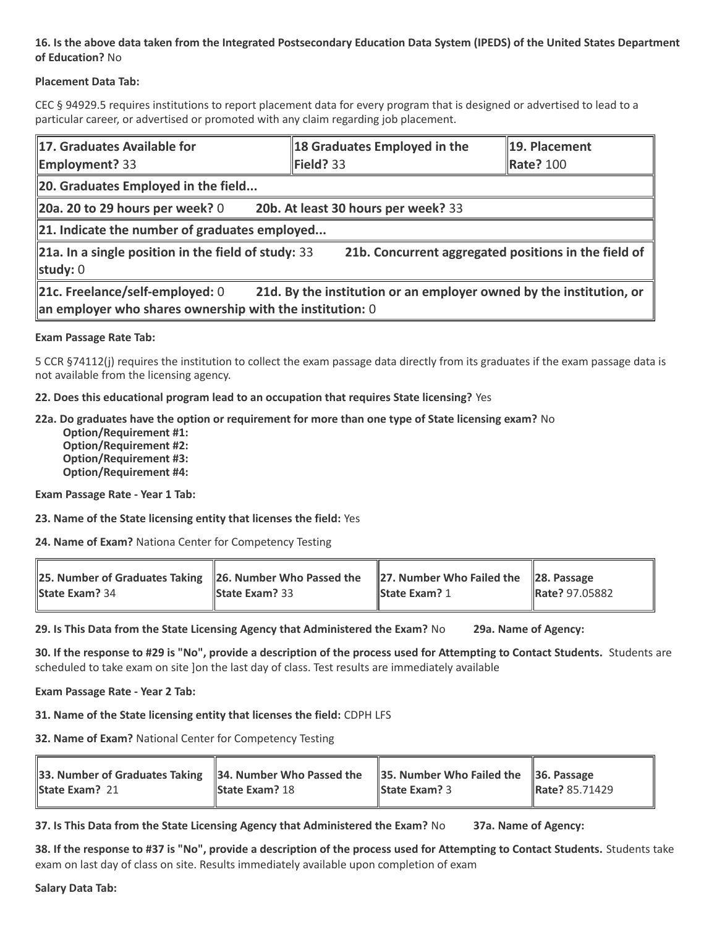#### **16. Is the above data taken from the Integrated Postsecondary Education Data System (IPEDS) of the United States Department of Education?** No

#### **Placement Data Tab:**

CEC § 94929.5 requires institutions to report placement data for every program that is designed or advertised to lead to a particular career, or advertised or promoted with any claim regarding job placement.

| 17. Graduates Available for<br><b>Employment?</b> 33                                                                                                                    | 18 Graduates Employed in the<br>Field? 33            | 19. Placement<br>Rate? 100 |  |  |  |
|-------------------------------------------------------------------------------------------------------------------------------------------------------------------------|------------------------------------------------------|----------------------------|--|--|--|
| 20. Graduates Employed in the field                                                                                                                                     |                                                      |                            |  |  |  |
| 20a. 20 to 29 hours per week? $0$                                                                                                                                       | 20b. At least 30 hours per week? 33                  |                            |  |  |  |
| $\ $ 21. Indicate the number of graduates employed                                                                                                                      |                                                      |                            |  |  |  |
| $\ $ 21a. In a single position in the field of study: 33<br>study: $0$                                                                                                  | 21b. Concurrent aggregated positions in the field of |                            |  |  |  |
| 21d. By the institution or an employer owned by the institution, or<br>21c. Freelance/self-employed: 0<br>$\ $ an employer who shares ownership with the institution: 0 |                                                      |                            |  |  |  |

#### **Exam Passage Rate Tab:**

5 CCR §74112(j) requires the institution to collect the exam passage data directly from its graduates if the exam passage data is not available from the licensing agency.

#### **22. Does this educational program lead to an occupation that requires State licensing?** Yes

#### **22a. Do graduates have the option or requirement for more than one type of State licensing exam?** No

 **Option/Requirement #1: Option/Requirement #2: Option/Requirement #3: Option/Requirement #4:**

**Exam Passage Rate - Year 1 Tab:**

**23. Name of the State licensing entity that licenses the field:** Yes

**24. Name of Exam?** Nationa Center for Competency Testing

| 25. Number of Graduates Taking 26. Number Who Passed the 27. Number Who Failed the 28. Passage<br><b>State Exam?</b> 34 | <b>State Exam?</b> $33$ | <b>State Exam? 1</b> | Rate? 97.05882 |
|-------------------------------------------------------------------------------------------------------------------------|-------------------------|----------------------|----------------|
|                                                                                                                         |                         |                      |                |

**29. Is This Data from the State Licensing Agency that Administered the Exam?** No **29a. Name of Agency:**

**30. If the response to #29 is "No", provide a description of the process used for Attempting to Contact Students.** Students are scheduled to take exam on site ]on the last day of class. Test results are immediately available

#### **Exam Passage Rate - Year 2 Tab:**

**31. Name of the State licensing entity that licenses the field:** CDPH LFS

**32. Name of Exam?** National Center for Competency Testing

| 33. Number of Graduates Taking $\parallel$ 34. Number Who Passed the $\parallel$ 35. Number Who Failed the $\parallel$ 36. Passage |                       |                      |                |
|------------------------------------------------------------------------------------------------------------------------------------|-----------------------|----------------------|----------------|
| <b>State Exam? 21</b>                                                                                                              | <b>State Exam? 18</b> | <b>State Exam?</b> 3 | Rate? 85.71429 |

**37. Is This Data from the State Licensing Agency that Administered the Exam?** No **37a. Name of Agency:**

**38. If the response to #37 is "No", provide a description of the process used for Attempting to Contact Students.** Students take exam on last day of class on site. Results immediately available upon completion of exam

**Salary Data Tab:**